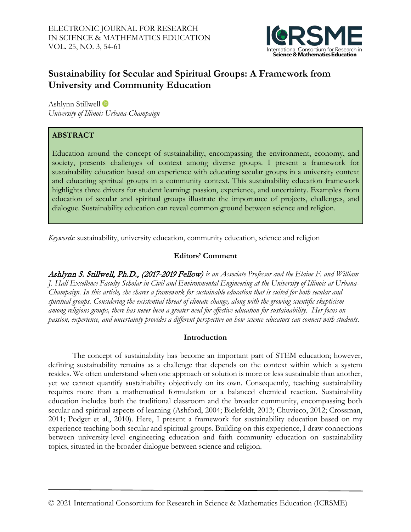

# **Sustainability for Secular and Spiritual Groups: A Framework from University and Community Education**

Ashlynn Stillwell *University of Illinois Urbana-Champaign*

# **ABSTRACT**

Education around the concept of sustainability, encompassing the environment, economy, and society, presents challenges of context among diverse groups. I present a framework for sustainability education based on experience with educating secular groups in a university context and educating spiritual groups in a community context. This sustainability education framework highlights three drivers for student learning: passion, experience, and uncertainty. Examples from education of secular and spiritual groups illustrate the importance of projects, challenges, and dialogue. Sustainability education can reveal common ground between science and religion.

*Keywords:* sustainability, university education, community education, science and religion

# **Editors' Comment**

Ashlynn S. Stillwell, Ph.D., (2017-2019 Fellow) *is an Associate Professor and the Elaine F. and William J. Hall Excellence Faculty Scholar in Civil and Environmental Engineering at the University of Illinois at Urbana-Champaign. In this article, she shares a framework for sustainable education that is suited for both secular and spiritual groups. Considering the existential threat of climate change, along with the growing scientific skepticism among religious groups, there has never been a greater need for effective education for sustainability. Her focus on passion, experience, and uncertainty provides a different perspective on how science educators can connect with students.*

# **Introduction**

The concept of sustainability has become an important part of STEM education; however, defining sustainability remains as a challenge that depends on the context within which a system resides. We often understand when one approach or solution is more or less sustainable than another, yet we cannot quantify sustainability objectively on its own. Consequently, teaching sustainability requires more than a mathematical formulation or a balanced chemical reaction. Sustainability education includes both the traditional classroom and the broader community, encompassing both secular and spiritual aspects of learning (Ashford, 2004; Bielefeldt, 2013; Chuvieco, 2012; Crossman, 2011; Podger et al., 2010). Here, I present a framework for sustainability education based on my experience teaching both secular and spiritual groups. Building on this experience, I draw connections between university-level engineering education and faith community education on sustainability topics, situated in the broader dialogue between science and religion.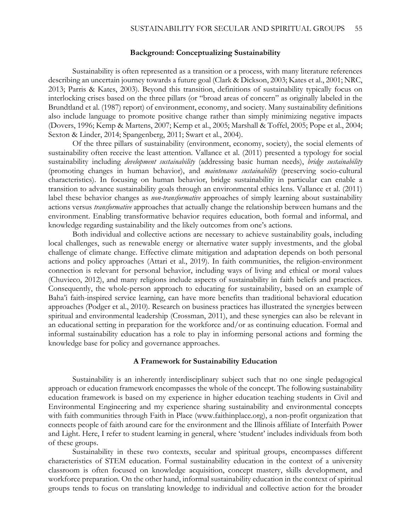### **Background: Conceptualizing Sustainability**

Sustainability is often represented as a transition or a process, with many literature references describing an uncertain journey towards a future goal (Clark & Dickson, 2003; Kates et al., 2001; NRC, 2013; Parris & Kates, 2003). Beyond this transition, definitions of sustainability typically focus on interlocking crises based on the three pillars (or "broad areas of concern" as originally labeled in the Brundtland et al. (1987) report) of environment, economy, and society. Many sustainability definitions also include language to promote positive change rather than simply minimizing negative impacts (Dovers, 1996; Kemp & Martens, 2007; Kemp et al., 2005; Marshall & Toffel, 2005; Pope et al., 2004; Sexton & Linder, 2014; Spangenberg, 2011; Swart et al., 2004).

Of the three pillars of sustainability (environment, economy, society), the social elements of sustainability often receive the least attention. Vallance et al. (2011) presented a typology for social sustainability including *development sustainability* (addressing basic human needs), *bridge sustainability* (promoting changes in human behavior), and *maintenance sustainability* (preserving socio-cultural characteristics). In focusing on human behavior, bridge sustainability in particular can enable a transition to advance sustainability goals through an environmental ethics lens. Vallance et al. (2011) label these behavior changes as *non-transformative* approaches of simply learning about sustainability actions versus *transformative* approaches that actually change the relationship between humans and the environment. Enabling transformative behavior requires education, both formal and informal, and knowledge regarding sustainability and the likely outcomes from one's actions.

Both individual and collective actions are necessary to achieve sustainability goals, including local challenges, such as renewable energy or alternative water supply investments, and the global challenge of climate change. Effective climate mitigation and adaptation depends on both personal actions and policy approaches (Attari et al., 2019). In faith communities, the religion-environment connection is relevant for personal behavior, including ways of living and ethical or moral values (Chuvieco, 2012), and many religions include aspects of sustainability in faith beliefs and practices. Consequently, the whole-person approach to educating for sustainability, based on an example of Baha'i faith-inspired service learning, can have more benefits than traditional behavioral education approaches (Podger et al., 2010). Research on business practices has illustrated the synergies between spiritual and environmental leadership (Crossman, 2011), and these synergies can also be relevant in an educational setting in preparation for the workforce and/or as continuing education. Formal and informal sustainability education has a role to play in informing personal actions and forming the knowledge base for policy and governance approaches.

#### **A Framework for Sustainability Education**

Sustainability is an inherently interdisciplinary subject such that no one single pedagogical approach or education framework encompasses the whole of the concept. The following sustainability education framework is based on my experience in higher education teaching students in Civil and Environmental Engineering and my experience sharing sustainability and environmental concepts with faith communities through Faith in Place (www.faithinplace.org), a non-profit organization that connects people of faith around care for the environment and the Illinois affiliate of Interfaith Power and Light. Here, I refer to student learning in general, where 'student' includes individuals from both of these groups.

Sustainability in these two contexts, secular and spiritual groups, encompasses different characteristics of STEM education. Formal sustainability education in the context of a university classroom is often focused on knowledge acquisition, concept mastery, skills development, and workforce preparation. On the other hand, informal sustainability education in the context of spiritual groups tends to focus on translating knowledge to individual and collective action for the broader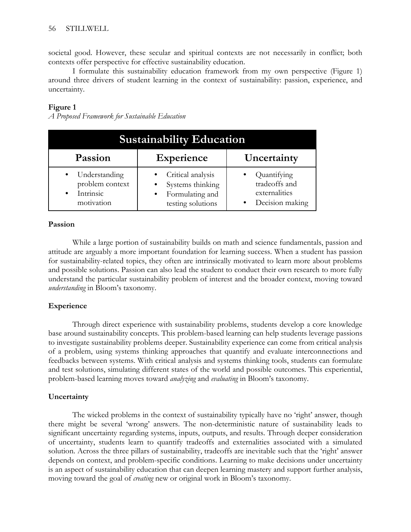societal good. However, these secular and spiritual contexts are not necessarily in conflict; both contexts offer perspective for effective sustainability education.

I formulate this sustainability education framework from my own perspective (Figure 1) around three drivers of student learning in the context of sustainability: passion, experience, and uncertainty.

## **Figure 1**

*A Proposed Framework for Sustainable Education*

| <b>Sustainability Education</b>                                                       |                                                                               |                                                                  |
|---------------------------------------------------------------------------------------|-------------------------------------------------------------------------------|------------------------------------------------------------------|
| Passion                                                                               | <b>Experience</b>                                                             | Uncertainty                                                      |
| Understanding<br>$\bullet$<br>problem context<br>Intrinsic<br>$\bullet$<br>motivation | Critical analysis<br>Systems thinking<br>Formulating and<br>testing solutions | Quantifying<br>tradeoffs and<br>externalities<br>Decision making |

### **Passion**

While a large portion of sustainability builds on math and science fundamentals, passion and attitude are arguably a more important foundation for learning success. When a student has passion for sustainability-related topics, they often are intrinsically motivated to learn more about problems and possible solutions. Passion can also lead the student to conduct their own research to more fully understand the particular sustainability problem of interest and the broader context, moving toward *understanding* in Bloom's taxonomy.

### **Experience**

Through direct experience with sustainability problems, students develop a core knowledge base around sustainability concepts. This problem-based learning can help students leverage passions to investigate sustainability problems deeper. Sustainability experience can come from critical analysis of a problem, using systems thinking approaches that quantify and evaluate interconnections and feedbacks between systems. With critical analysis and systems thinking tools, students can formulate and test solutions, simulating different states of the world and possible outcomes. This experiential, problem-based learning moves toward *analyzing* and *evaluating* in Bloom's taxonomy.

### **Uncertainty**

The wicked problems in the context of sustainability typically have no 'right' answer, though there might be several 'wrong' answers. The non-deterministic nature of sustainability leads to significant uncertainty regarding systems, inputs, outputs, and results. Through deeper consideration of uncertainty, students learn to quantify tradeoffs and externalities associated with a simulated solution. Across the three pillars of sustainability, tradeoffs are inevitable such that the 'right' answer depends on context, and problem-specific conditions. Learning to make decisions under uncertainty is an aspect of sustainability education that can deepen learning mastery and support further analysis, moving toward the goal of *creating* new or original work in Bloom's taxonomy.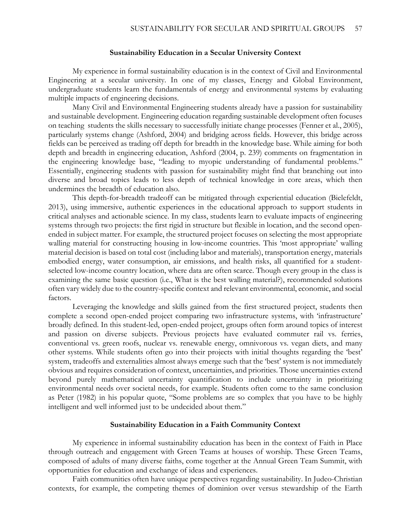#### **Sustainability Education in a Secular University Context**

My experience in formal sustainability education is in the context of Civil and Environmental Engineering at a secular university. In one of my classes, Energy and Global Environment, undergraduate students learn the fundamentals of energy and environmental systems by evaluating multiple impacts of engineering decisions.

Many Civil and Environmental Engineering students already have a passion for sustainability and sustainable development. Engineering education regarding sustainable development often focuses on teaching students the skills necessary to successfully initiate change processes (Fenner et al., 2005), particularly systems change (Ashford, 2004) and bridging across fields. However, this bridge across fields can be perceived as trading off depth for breadth in the knowledge base. While aiming for both depth and breadth in engineering education, Ashford (2004, p. 239) comments on fragmentation in the engineering knowledge base, "leading to myopic understanding of fundamental problems." Essentially, engineering students with passion for sustainability might find that branching out into diverse and broad topics leads to less depth of technical knowledge in core areas, which then undermines the breadth of education also.

This depth-for-breadth tradeoff can be mitigated through experiential education (Bielefeldt, 2013), using immersive, authentic experiences in the educational approach to support students in critical analyses and actionable science. In my class, students learn to evaluate impacts of engineering systems through two projects: the first rigid in structure but flexible in location, and the second openended in subject matter. For example, the structured project focuses on selecting the most appropriate walling material for constructing housing in low-income countries. This 'most appropriate' walling material decision is based on total cost (including labor and materials), transportation energy, materials embodied energy, water consumption, air emissions, and health risks, all quantified for a studentselected low-income country location, where data are often scarce. Though every group in the class is examining the same basic question (i.e., What is the best walling material?), recommended solutions often vary widely due to the country-specific context and relevant environmental, economic, and social factors.

Leveraging the knowledge and skills gained from the first structured project, students then complete a second open-ended project comparing two infrastructure systems, with 'infrastructure' broadly defined. In this student-led, open-ended project, groups often form around topics of interest and passion on diverse subjects. Previous projects have evaluated commuter rail vs. ferries, conventional vs. green roofs, nuclear vs. renewable energy, omnivorous vs. vegan diets, and many other systems. While students often go into their projects with initial thoughts regarding the 'best' system, tradeoffs and externalities almost always emerge such that the 'best' system is not immediately obvious and requires consideration of context, uncertainties, and priorities. Those uncertainties extend beyond purely mathematical uncertainty quantification to include uncertainty in prioritizing environmental needs over societal needs, for example. Students often come to the same conclusion as Peter (1982) in his popular quote, "Some problems are so complex that you have to be highly intelligent and well informed just to be undecided about them."

### **Sustainability Education in a Faith Community Context**

My experience in informal sustainability education has been in the context of Faith in Place through outreach and engagement with Green Teams at houses of worship. These Green Teams, composed of adults of many diverse faiths, come together at the Annual Green Team Summit, with opportunities for education and exchange of ideas and experiences.

Faith communities often have unique perspectives regarding sustainability. In Judeo-Christian contexts, for example, the competing themes of dominion over versus stewardship of the Earth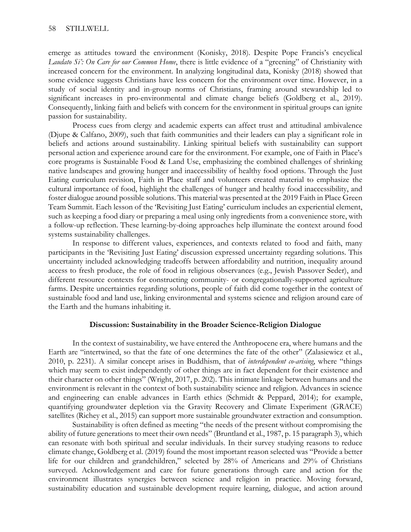emerge as attitudes toward the environment (Konisky, 2018). Despite Pope Francis's encyclical *Laudato Si': On Care for our Common Home*, there is little evidence of a "greening" of Christianity with increased concern for the environment. In analyzing longitudinal data, Konisky (2018) showed that some evidence suggests Christians have less concern for the environment over time. However, in a study of social identity and in-group norms of Christians, framing around stewardship led to significant increases in pro-environmental and climate change beliefs (Goldberg et al., 2019). Consequently, linking faith and beliefs with concern for the environment in spiritual groups can ignite passion for sustainability.

Process cues from clergy and academic experts can affect trust and attitudinal ambivalence (Djupe & Calfano, 2009), such that faith communities and their leaders can play a significant role in beliefs and actions around sustainability. Linking spiritual beliefs with sustainability can support personal action and experience around care for the environment. For example, one of Faith in Place's core programs is Sustainable Food & Land Use, emphasizing the combined challenges of shrinking native landscapes and growing hunger and inaccessibility of healthy food options. Through the Just Eating curriculum revision, Faith in Place staff and volunteers created material to emphasize the cultural importance of food, highlight the challenges of hunger and healthy food inaccessibility, and foster dialogue around possible solutions. This material was presented at the 2019 Faith in Place Green Team Summit. Each lesson of the 'Revisiting Just Eating' curriculum includes an experiential element, such as keeping a food diary or preparing a meal using only ingredients from a convenience store, with a follow-up reflection. These learning-by-doing approaches help illuminate the context around food systems sustainability challenges.

In response to different values, experiences, and contexts related to food and faith, many participants in the 'Revisiting Just Eating' discussion expressed uncertainty regarding solutions. This uncertainty included acknowledging tradeoffs between affordability and nutrition, inequality around access to fresh produce, the role of food in religious observances (e.g., Jewish Passover Seder), and different resource contexts for constructing community- or congregationally-supported agriculture farms. Despite uncertainties regarding solutions, people of faith did come together in the context of sustainable food and land use, linking environmental and systems science and religion around care of the Earth and the humans inhabiting it.

### **Discussion: Sustainability in the Broader Science-Religion Dialogue**

In the context of sustainability, we have entered the Anthropocene era, where humans and the Earth are "intertwined, so that the fate of one determines the fate of the other" (Zalasiewicz et al., 2010, p. 2231). A similar concept arises in Buddhism, that of *interdependent co-arising*, where "things which may seem to exist independently of other things are in fact dependent for their existence and their character on other things" (Wright, 2017, p. 202). This intimate linkage between humans and the environment is relevant in the context of both sustainability science and religion. Advances in science and engineering can enable advances in Earth ethics (Schmidt & Peppard, 2014); for example, quantifying groundwater depletion via the Gravity Recovery and Climate Experiment (GRACE) satellites (Richey et al., 2015) can support more sustainable groundwater extraction and consumption.

Sustainability is often defined as meeting "the needs of the present without compromising the ability of future generations to meet their own needs" (Bruntland et al., 1987, p. 15 paragraph 3), which can resonate with both spiritual and secular individuals. In their survey studying reasons to reduce climate change, Goldberg et al. (2019) found the most important reason selected was "Provide a better life for our children and grandchildren," selected by 28% of Americans and 29% of Christians surveyed. Acknowledgement and care for future generations through care and action for the environment illustrates synergies between science and religion in practice. Moving forward, sustainability education and sustainable development require learning, dialogue, and action around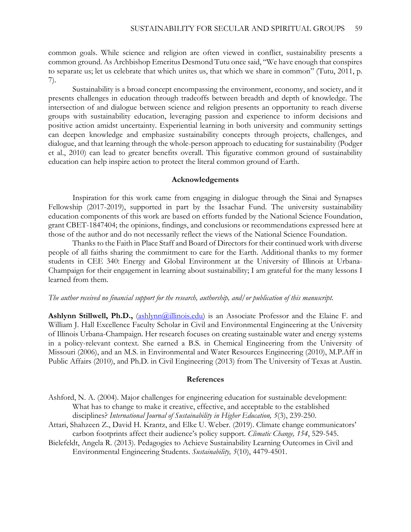common goals. While science and religion are often viewed in conflict, sustainability presents a common ground. As Archbishop Emeritus Desmond Tutu once said, "We have enough that conspires to separate us; let us celebrate that which unites us, that which we share in common" (Tutu, 2011, p. 7).

Sustainability is a broad concept encompassing the environment, economy, and society, and it presents challenges in education through tradeoffs between breadth and depth of knowledge. The intersection of and dialogue between science and religion presents an opportunity to reach diverse groups with sustainability education, leveraging passion and experience to inform decisions and positive action amidst uncertainty. Experiential learning in both university and community settings can deepen knowledge and emphasize sustainability concepts through projects, challenges, and dialogue, and that learning through the whole-person approach to educating for sustainability (Podger et al., 2010) can lead to greater benefits overall. This figurative common ground of sustainability education can help inspire action to protect the literal common ground of Earth.

#### **Acknowledgements**

Inspiration for this work came from engaging in dialogue through the Sinai and Synapses Fellowship (2017-2019), supported in part by the Issachar Fund. The university sustainability education components of this work are based on efforts funded by the National Science Foundation, grant CBET-1847404; the opinions, findings, and conclusions or recommendations expressed here at those of the author and do not necessarily reflect the views of the National Science Foundation.

Thanks to the Faith in Place Staff and Board of Directors for their continued work with diverse people of all faiths sharing the commitment to care for the Earth. Additional thanks to my former students in CEE 340: Energy and Global Environment at the University of Illinois at Urbana-Champaign for their engagement in learning about sustainability; I am grateful for the many lessons I learned from them.

### *The author received no financial support for the research, authorship, and/or publication of this manuscript.*

**Ashlynn Stillwell, Ph.D.,** [\(ashlynn@illinois.edu\)](mailto:ashlynn@illinois.edu) is an Associate Professor and the Elaine F. and William J. Hall Excellence Faculty Scholar in Civil and Environmental Engineering at the University of Illinois Urbana-Champaign. Her research focuses on creating sustainable water and energy systems in a policy-relevant context. She earned a B.S. in Chemical Engineering from the University of Missouri (2006), and an M.S. in Environmental and Water Resources Engineering (2010), M.P.Aff in Public Affairs (2010), and Ph.D. in Civil Engineering (2013) from The University of Texas at Austin.

#### **References**

Ashford, N. A. (2004). Major challenges for engineering education for sustainable development: What has to change to make it creative, effective, and acceptable to the established disciplines? *International Journal of Sustainability in Higher Education, 5*(3), 239-250.

- Attari, Shahzeen Z., David H. Krantz, and Elke U. Weber. (2019). Climate change communicators' carbon footprints affect their audience's policy support. *Climatic Change, 154*, 529-545.
- Bielefeldt, Angela R. (2013). Pedagogies to Achieve Sustainability Learning Outcomes in Civil and Environmental Engineering Students. *Sustainability, 5*(10), 4479-4501.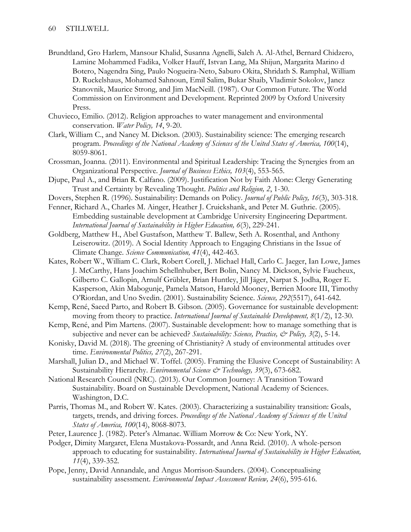- Brundtland, Gro Harlem, Mansour Khalid, Susanna Agnelli, Saleh A. Al-Athel, Bernard Chidzero, Lamine Mohammed Fadika, Volker Hauff, Istvan Lang, Ma Shijun, Margarita Marino d Botero, Nagendra Sing, Paulo Nogueira-Neto, Saburo Okita, Shridath S. Ramphal, William D. Ruckelshaus, Mohamed Sahnoun, Emil Salim, Bukar Shaib, Vladimir Sokolov, Janez Stanovnik, Maurice Strong, and Jim MacNeill. (1987). Our Common Future. The World Commission on Environment and Development. Reprinted 2009 by Oxford University Press.
- Chuvieco, Emilio. (2012). Religion approaches to water management and environmental conservation. *Water Policy, 14*, 9-20.
- Clark, William C., and Nancy M. Dickson. (2003). Sustainability science: The emerging research program. *Proceedings of the National Academy of Sciences of the United States of America, 100*(14), 8059-8061.
- Crossman, Joanna. (2011). Environmental and Spiritual Leadership: Tracing the Synergies from an Organizational Perspective. *Journal of Business Ethics, 103*(4), 553-565.
- Djupe, Paul A., and Brian R. Calfano. (2009). Justification Not by Faith Alone: Clergy Generating Trust and Certainty by Revealing Thought. *Politics and Religion, 2*, 1-30.
- Dovers, Stephen R. (1996). Sustainability: Demands on Policy. *Journal of Public Policy, 16*(3), 303-318.
- Fenner, Richard A., Charles M. Ainger, Heather J. Cruickshank, and Peter M. Guthrie. (2005). Embedding sustainable development at Cambridge University Engineering Department. *International Journal of Sustainability in Higher Education, 6*(3), 229-241.
- Goldberg, Matthew H., Abel Gustafson, Matthew T. Ballew, Seth A. Rosenthal, and Anthony Leiserowitz. (2019). A Social Identity Approach to Engaging Christians in the Issue of Climate Change. *Science Communication, 41*(4), 442-463.
- Kates, Robert W., William C. Clark, Robert Corell, J. Michael Hall, Carlo C. Jaeger, Ian Lowe, James J. McCarthy, Hans Joachim Schellnhuber, Bert Bolin, Nancy M. Dickson, Sylvie Faucheux, Gilberto C. Gallopin, Arnulf Grübler, Brian Huntley, Jill Jäger, Narpat S. Jodha, Roger E. Kasperson, Akin Mabogunje, Pamela Matson, Harold Mooney, Berrien Moore III, Timothy O'Riordan, and Uno Svedin. (2001). Sustainability Science. *Science, 292*(5517), 641-642.
- Kemp, René, Saeed Parto, and Robert B. Gibson. (2005). Governance for sustainable development: moving from theory to practice. *International Journal of Sustainable Development, 8*(1/2), 12-30.
- Kemp, René, and Pim Martens. (2007). Sustainable development: how to manage something that is subjective and never can be achieved? *Sustainability: Science, Practice, & Policy, 3*(2), 5-14.
- Konisky, David M. (2018). The greening of Christianity? A study of environmental attitudes over time. *Environmental Politics, 27*(2), 267-291.
- Marshall, Julian D., and Michael W. Toffel. (2005). Framing the Elusive Concept of Sustainability: A Sustainability Hierarchy. *Environmental Science* & Technology, 39(3), 673-682.
- National Research Council (NRC). (2013). Our Common Journey: A Transition Toward Sustainability. Board on Sustainable Development, National Academy of Sciences. Washington, D.C.
- Parris, Thomas M., and Robert W. Kates. (2003). Characterizing a sustainability transition: Goals, targets, trends, and driving forces. *Proceedings of the National Academy of Sciences of the United States of America, 100*(14), 8068-8073.
- Peter, Laurence J. (1982). Peter's Almanac. William Morrow & Co: New York, NY.
- Podger, Dimity Margaret, Elena Mustakova-Possardt, and Anna Reid. (2010). A whole-person approach to educating for sustainability. *International Journal of Sustainability in Higher Education, 11*(4), 339-352.
- Pope, Jenny, David Annandale, and Angus Morrison-Saunders. (2004). Conceptualising sustainability assessment. *Environmental Impact Assessment Review, 24*(6), 595-616.